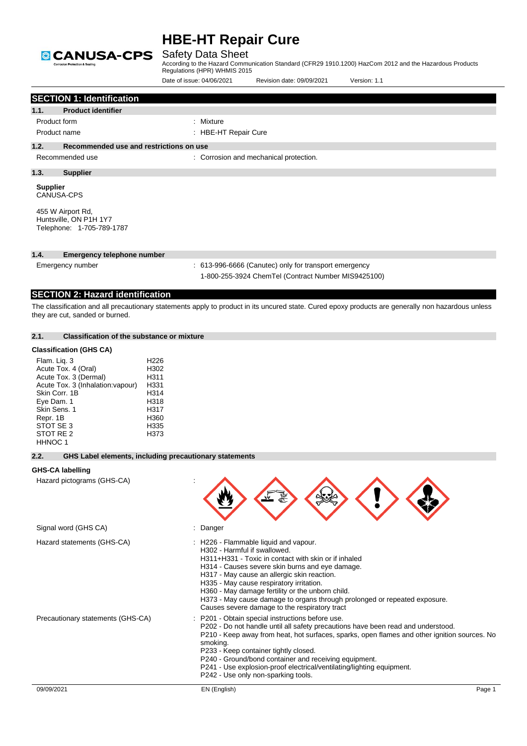

## Safety Data Sheet

| 1.1.<br>Product form<br>Product name<br>1.2.<br>1.3.<br><b>Supplier</b> | <b>SECTION 1: Identification</b><br><b>Product identifier</b><br>Recommended use and restrictions on use<br>Recommended use |                                                                          | : Mixture<br>: HBE-HT Repair Cure |                                                                                                                                                                                                                                                                                                                                                  |                                                                                                                                                                                  |
|-------------------------------------------------------------------------|-----------------------------------------------------------------------------------------------------------------------------|--------------------------------------------------------------------------|-----------------------------------|--------------------------------------------------------------------------------------------------------------------------------------------------------------------------------------------------------------------------------------------------------------------------------------------------------------------------------------------------|----------------------------------------------------------------------------------------------------------------------------------------------------------------------------------|
|                                                                         |                                                                                                                             |                                                                          |                                   |                                                                                                                                                                                                                                                                                                                                                  |                                                                                                                                                                                  |
|                                                                         |                                                                                                                             |                                                                          |                                   |                                                                                                                                                                                                                                                                                                                                                  |                                                                                                                                                                                  |
|                                                                         |                                                                                                                             |                                                                          |                                   |                                                                                                                                                                                                                                                                                                                                                  |                                                                                                                                                                                  |
|                                                                         |                                                                                                                             |                                                                          |                                   |                                                                                                                                                                                                                                                                                                                                                  |                                                                                                                                                                                  |
|                                                                         |                                                                                                                             |                                                                          |                                   |                                                                                                                                                                                                                                                                                                                                                  |                                                                                                                                                                                  |
|                                                                         |                                                                                                                             |                                                                          |                                   | : Corrosion and mechanical protection.                                                                                                                                                                                                                                                                                                           |                                                                                                                                                                                  |
|                                                                         | <b>Supplier</b>                                                                                                             |                                                                          |                                   |                                                                                                                                                                                                                                                                                                                                                  |                                                                                                                                                                                  |
| <b>CANUSA-CPS</b>                                                       |                                                                                                                             |                                                                          |                                   |                                                                                                                                                                                                                                                                                                                                                  |                                                                                                                                                                                  |
|                                                                         | 455 W Airport Rd,<br>Huntsville, ON P1H 1Y7<br>Telephone: 1-705-789-1787                                                    |                                                                          |                                   |                                                                                                                                                                                                                                                                                                                                                  |                                                                                                                                                                                  |
| 1.4.                                                                    | <b>Emergency telephone number</b>                                                                                           |                                                                          |                                   |                                                                                                                                                                                                                                                                                                                                                  |                                                                                                                                                                                  |
|                                                                         | Emergency number                                                                                                            |                                                                          |                                   | : 613-996-6666 (Canutec) only for transport emergency                                                                                                                                                                                                                                                                                            |                                                                                                                                                                                  |
|                                                                         |                                                                                                                             |                                                                          |                                   | 1-800-255-3924 ChemTel (Contract Number MIS9425100)                                                                                                                                                                                                                                                                                              |                                                                                                                                                                                  |
|                                                                         | <b>SECTION 2: Hazard identification</b>                                                                                     |                                                                          |                                   |                                                                                                                                                                                                                                                                                                                                                  |                                                                                                                                                                                  |
|                                                                         | they are cut, sanded or burned.                                                                                             |                                                                          |                                   |                                                                                                                                                                                                                                                                                                                                                  | The classification and all precautionary statements apply to product in its uncured state. Cured epoxy products are generally non hazardous unless                               |
| 2.1.                                                                    | <b>Classification of the substance or mixture</b>                                                                           |                                                                          |                                   |                                                                                                                                                                                                                                                                                                                                                  |                                                                                                                                                                                  |
|                                                                         | <b>Classification (GHS CA)</b>                                                                                              |                                                                          |                                   |                                                                                                                                                                                                                                                                                                                                                  |                                                                                                                                                                                  |
| Flam. Liq. 3<br>Skin Corr. 1B<br>Eye Dam. 1<br>Skin Sens. 1<br>Repr. 1B | Acute Tox. 4 (Oral)<br>Acute Tox. 3 (Dermal)<br>Acute Tox. 3 (Inhalation: vapour)                                           | H <sub>226</sub><br>H302<br>H311<br>H331<br>H314<br>H318<br>H317<br>H360 |                                   |                                                                                                                                                                                                                                                                                                                                                  |                                                                                                                                                                                  |
| STOT SE 3<br>STOT RE 2<br>HHNOC 1                                       |                                                                                                                             | H335<br>H373                                                             |                                   |                                                                                                                                                                                                                                                                                                                                                  |                                                                                                                                                                                  |
| 2.2.                                                                    | GHS Label elements, including precautionary statements                                                                      |                                                                          |                                   |                                                                                                                                                                                                                                                                                                                                                  |                                                                                                                                                                                  |
| <b>GHS-CA labelling</b>                                                 |                                                                                                                             |                                                                          |                                   |                                                                                                                                                                                                                                                                                                                                                  |                                                                                                                                                                                  |
|                                                                         | Hazard pictograms (GHS-CA)                                                                                                  |                                                                          |                                   |                                                                                                                                                                                                                                                                                                                                                  |                                                                                                                                                                                  |
|                                                                         | Signal word (GHS CA)                                                                                                        |                                                                          | : Danger                          |                                                                                                                                                                                                                                                                                                                                                  |                                                                                                                                                                                  |
|                                                                         | Hazard statements (GHS-CA)                                                                                                  |                                                                          | H302 - Harmful if swallowed.      | : H226 - Flammable liquid and vapour.<br>H311+H331 - Toxic in contact with skin or if inhaled<br>H314 - Causes severe skin burns and eye damage.<br>H317 - May cause an allergic skin reaction.<br>H335 - May cause respiratory irritation.<br>H360 - May damage fertility or the unborn child.<br>Causes severe damage to the respiratory tract | H373 - May cause damage to organs through prolonged or repeated exposure.                                                                                                        |
|                                                                         | Precautionary statements (GHS-CA)                                                                                           |                                                                          | smoking.                          | P201 - Obtain special instructions before use.<br>P233 - Keep container tightly closed.<br>P240 - Ground/bond container and receiving equipment.<br>P241 - Use explosion-proof electrical/ventilating/lighting equipment.<br>P242 - Use only non-sparking tools.                                                                                 | P202 - Do not handle until all safety precautions have been read and understood.<br>P210 - Keep away from heat, hot surfaces, sparks, open flames and other ignition sources. No |
| 09/09/2021                                                              |                                                                                                                             |                                                                          | EN (English)                      |                                                                                                                                                                                                                                                                                                                                                  | Page 1                                                                                                                                                                           |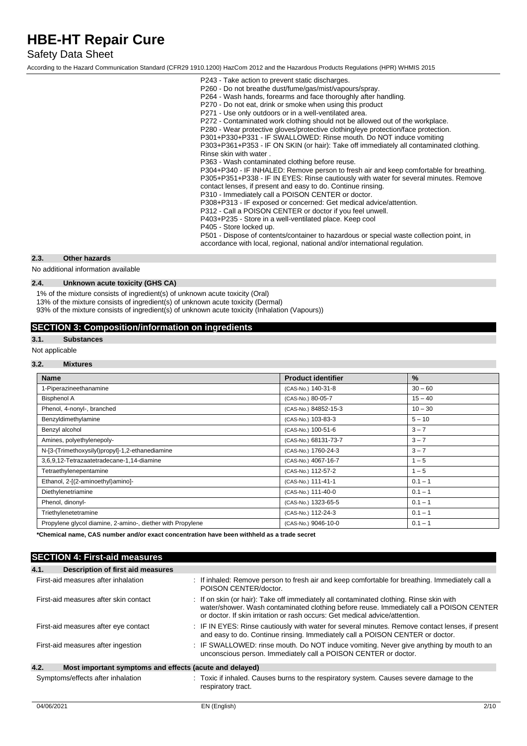## Safety Data Sheet

According to the Hazard Communication Standard (CFR29 1910.1200) HazCom 2012 and the Hazardous Products Regulations (HPR) WHMIS 2015

| P243 - Take action to prevent static discharges.<br>P260 - Do not breathe dust/fume/gas/mist/vapours/spray.<br>P264 - Wash hands, forearms and face thoroughly after handling.<br>P270 - Do not eat, drink or smoke when using this product<br>P271 - Use only outdoors or in a well-ventilated area.<br>P272 - Contaminated work clothing should not be allowed out of the workplace.<br>P280 - Wear protective gloves/protective clothing/eye protection/face protection.<br>P301+P330+P331 - IF SWALLOWED: Rinse mouth. Do NOT induce vomiting<br>P303+P361+P353 - IF ON SKIN (or hair): Take off immediately all contaminated clothing.<br>Rinse skin with water.<br>P363 - Wash contaminated clothing before reuse.<br>P304+P340 - IF INHALED: Remove person to fresh air and keep comfortable for breathing.<br>P305+P351+P338 - IF IN EYES: Rinse cautiously with water for several minutes. Remove<br>contact lenses, if present and easy to do. Continue rinsing.<br>P310 - Immediately call a POISON CENTER or doctor.<br>P308+P313 - IF exposed or concerned: Get medical advice/attention.<br>P312 - Call a POISON CENTER or doctor if you feel unwell.<br>P403+P235 - Store in a well-ventilated place. Keep cool<br>P405 - Store locked up.<br>P501 - Dispose of contents/container to hazardous or special waste collection point, in<br>accordance with local, regional, national and/or international regulation. |
|------------------------------------------------------------------------------------------------------------------------------------------------------------------------------------------------------------------------------------------------------------------------------------------------------------------------------------------------------------------------------------------------------------------------------------------------------------------------------------------------------------------------------------------------------------------------------------------------------------------------------------------------------------------------------------------------------------------------------------------------------------------------------------------------------------------------------------------------------------------------------------------------------------------------------------------------------------------------------------------------------------------------------------------------------------------------------------------------------------------------------------------------------------------------------------------------------------------------------------------------------------------------------------------------------------------------------------------------------------------------------------------------------------------------------------|
|                                                                                                                                                                                                                                                                                                                                                                                                                                                                                                                                                                                                                                                                                                                                                                                                                                                                                                                                                                                                                                                                                                                                                                                                                                                                                                                                                                                                                                    |
|                                                                                                                                                                                                                                                                                                                                                                                                                                                                                                                                                                                                                                                                                                                                                                                                                                                                                                                                                                                                                                                                                                                                                                                                                                                                                                                                                                                                                                    |

### **2.3. Other hazards**

No additional information available

### **2.4. Unknown acute toxicity (GHS CA)**

1% of the mixture consists of ingredient(s) of unknown acute toxicity (Oral)

13% of the mixture consists of ingredient(s) of unknown acute toxicity (Dermal)

93% of the mixture consists of ingredient(s) of unknown acute toxicity (Inhalation (Vapours))

### **SECTION 3: Composition/information on ingredients**

## **3.1. Substances**

Not applicable

### **3.2. Mixtures**

| <b>Name</b>                                                | <b>Product identifier</b> | $\frac{9}{6}$ |
|------------------------------------------------------------|---------------------------|---------------|
| 1-Piperazineethanamine                                     | (CAS-No.) 140-31-8        | $30 - 60$     |
| <b>Bisphenol A</b>                                         | (CAS-No.) 80-05-7         | $15 - 40$     |
| Phenol, 4-nonyl-, branched                                 | (CAS-No.) 84852-15-3      | $10 - 30$     |
| Benzyldimethylamine                                        | (CAS-No.) 103-83-3        | $5 - 10$      |
| Benzyl alcohol                                             | (CAS-No.) 100-51-6        | $3 - 7$       |
| Amines, polyethylenepoly-                                  | (CAS-No.) 68131-73-7      | $3 - 7$       |
| N-[3-(Trimethoxysilyl)propyl]-1,2-ethanediamine            | (CAS-No.) 1760-24-3       | $3 - 7$       |
| 3,6,9,12-Tetrazaatetradecane-1,14-diamine                  | (CAS-No.) 4067-16-7       | $1 - 5$       |
| Tetraethylenepentamine                                     | (CAS-No.) 112-57-2        | $1 - 5$       |
| Ethanol, 2-[(2-aminoethyl)amino]-                          | (CAS-No.) 111-41-1        | $0.1 - 1$     |
| Diethylenetriamine                                         | (CAS-No.) 111-40-0        | $0.1 - 1$     |
| Phenol, dinonyl-                                           | (CAS-No.) 1323-65-5       | $0.1 - 1$     |
| Triethylenetetramine                                       | (CAS-No.) 112-24-3        | $0.1 - 1$     |
| Propylene glycol diamine, 2-amino-, diether with Propylene | (CAS-No.) 9046-10-0       | $0.1 - 1$     |

**\*Chemical name, CAS number and/or exact concentration have been withheld as a trade secret**

### **SECTION 4: First-aid measures**

| 4.1.<br>Description of first aid measures                       |                                                                                                                                                                                                                                                                   |
|-----------------------------------------------------------------|-------------------------------------------------------------------------------------------------------------------------------------------------------------------------------------------------------------------------------------------------------------------|
| First-aid measures after inhalation                             | : If inhaled: Remove person to fresh air and keep comfortable for breathing. Immediately call a<br>POISON CENTER/doctor.                                                                                                                                          |
| First-aid measures after skin contact                           | : If on skin (or hair): Take off immediately all contaminated clothing. Rinse skin with<br>water/shower. Wash contaminated clothing before reuse. Immediately call a POISON CENTER<br>or doctor. If skin irritation or rash occurs: Get medical advice/attention. |
| First-aid measures after eye contact                            | : IF IN EYES: Rinse cautiously with water for several minutes. Remove contact lenses, if present<br>and easy to do. Continue rinsing. Immediately call a POISON CENTER or doctor.                                                                                 |
| First-aid measures after ingestion                              | : IF SWALLOWED: rinse mouth. Do NOT induce vomiting. Never give anything by mouth to an<br>unconscious person. Immediately call a POISON CENTER or doctor.                                                                                                        |
| 4.2.<br>Most important symptoms and effects (acute and delayed) |                                                                                                                                                                                                                                                                   |
| Symptoms/effects after inhalation                               | : Toxic if inhaled. Causes burns to the respiratory system. Causes severe damage to the<br>respiratory tract.                                                                                                                                                     |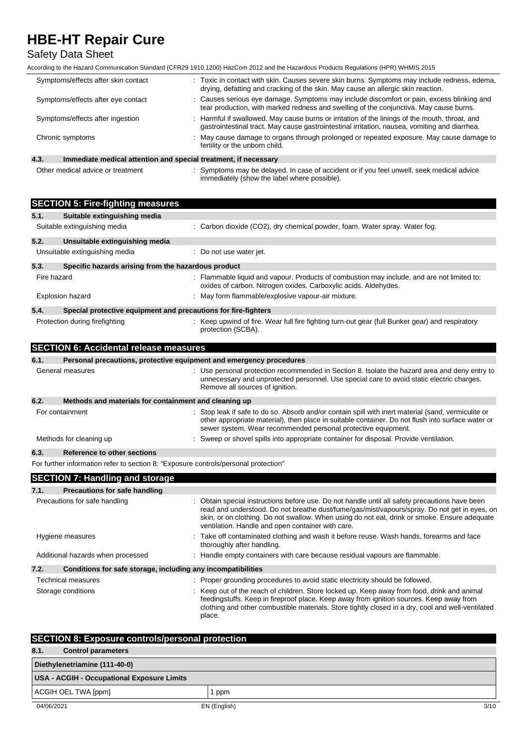## Safety Data Sheet

According to the Hazard Communication Standard (CFR29 1910.1200) HazCom 2012 and the Hazardous Products Regulations (HPR) WHMIS 2015

| Symptoms/effects after skin contact                                     | : Toxic in contact with skin. Causes severe skin burns. Symptoms may include redness, edema,<br>drying, defatting and cracking of the skin. May cause an allergic skin reaction.                |  |
|-------------------------------------------------------------------------|-------------------------------------------------------------------------------------------------------------------------------------------------------------------------------------------------|--|
| Symptoms/effects after eye contact                                      | : Causes serious eye damage. Symptoms may include discomfort or pain, excess blinking and<br>tear production, with marked redness and swelling of the conjunctiva. May cause burns.             |  |
| Symptoms/effects after ingestion                                        | : Harmful if swallowed. May cause burns or irritation of the linings of the mouth, throat, and<br>gastrointestinal tract. May cause gastrointestinal irritation, nausea, vomiting and diarrhea. |  |
| Chronic symptoms                                                        | : May cause damage to organs through prolonged or repeated exposure. May cause damage to<br>fertility or the unborn child.                                                                      |  |
| 4.3.<br>Immediate medical attention and special treatment, if necessary |                                                                                                                                                                                                 |  |

Other medical advice or treatment : Symptoms may be delayed. In case of accident or if you feel unwell, seek medical advice immediately (show the label where possible).

| <b>SECTION 5: Fire-fighting measures</b>                                            |                                                                                                                                                                                                                                                                                                                                                     |  |  |  |
|-------------------------------------------------------------------------------------|-----------------------------------------------------------------------------------------------------------------------------------------------------------------------------------------------------------------------------------------------------------------------------------------------------------------------------------------------------|--|--|--|
| Suitable extinguishing media<br>5.1.                                                |                                                                                                                                                                                                                                                                                                                                                     |  |  |  |
| Suitable extinguishing media                                                        | : Carbon dioxide (CO2), dry chemical powder, foam. Water spray. Water fog.                                                                                                                                                                                                                                                                          |  |  |  |
| 5.2.<br>Unsuitable extinguishing media                                              |                                                                                                                                                                                                                                                                                                                                                     |  |  |  |
| Unsuitable extinguishing media                                                      | : Do not use water jet.                                                                                                                                                                                                                                                                                                                             |  |  |  |
| 5.3.<br>Specific hazards arising from the hazardous product                         |                                                                                                                                                                                                                                                                                                                                                     |  |  |  |
| Fire hazard                                                                         | : Flammable liquid and vapour. Products of combustion may include, and are not limited to:<br>oxides of carbon. Nitrogen oxides. Carboxylic acids. Aldehydes.                                                                                                                                                                                       |  |  |  |
| <b>Explosion hazard</b>                                                             | : May form flammable/explosive vapour-air mixture.                                                                                                                                                                                                                                                                                                  |  |  |  |
| 5.4.<br>Special protective equipment and precautions for fire-fighters              |                                                                                                                                                                                                                                                                                                                                                     |  |  |  |
| Protection during firefighting                                                      | : Keep upwind of fire. Wear full fire fighting turn-out gear (full Bunker gear) and respiratory<br>protection (SCBA).                                                                                                                                                                                                                               |  |  |  |
| <b>SECTION 6: Accidental release measures</b>                                       |                                                                                                                                                                                                                                                                                                                                                     |  |  |  |
| 6.1.                                                                                | Personal precautions, protective equipment and emergency procedures                                                                                                                                                                                                                                                                                 |  |  |  |
| General measures                                                                    | : Use personal protection recommended in Section 8. Isolate the hazard area and deny entry to<br>unnecessary and unprotected personnel. Use special care to avoid static electric charges.<br>Remove all sources of ignition.                                                                                                                       |  |  |  |
| 6.2.<br>Methods and materials for containment and cleaning up                       |                                                                                                                                                                                                                                                                                                                                                     |  |  |  |
| For containment                                                                     | : Stop leak if safe to do so. Absorb and/or contain spill with inert material (sand, vermiculite or<br>other appropriate material), then place in suitable container. Do not flush into surface water or<br>sewer system. Wear recommended personal protective equipment.                                                                           |  |  |  |
| Methods for cleaning up                                                             | : Sweep or shovel spills into appropriate container for disposal. Provide ventilation.                                                                                                                                                                                                                                                              |  |  |  |
| <b>Reference to other sections</b><br>6.3.                                          |                                                                                                                                                                                                                                                                                                                                                     |  |  |  |
| For further information refer to section 8: "Exposure controls/personal protection" |                                                                                                                                                                                                                                                                                                                                                     |  |  |  |
| <b>SECTION 7: Handling and storage</b>                                              |                                                                                                                                                                                                                                                                                                                                                     |  |  |  |
| 7.1.<br><b>Precautions for safe handling</b>                                        |                                                                                                                                                                                                                                                                                                                                                     |  |  |  |
| Precautions for safe handling                                                       | : Obtain special instructions before use. Do not handle until all safety precautions have been<br>read and understood. Do not breathe dust/fume/gas/mist/vapours/spray. Do not get in eyes, on<br>skin, or on clothing. Do not swallow. When using do not eat, drink or smoke. Ensure adequate<br>ventilation. Handle and open container with care. |  |  |  |
| Hygiene measures                                                                    | : Take off contaminated clothing and wash it before reuse. Wash hands, forearms and face<br>thoroughly after handling.                                                                                                                                                                                                                              |  |  |  |
| Additional hazards when processed                                                   | : Handle empty containers with care because residual vapours are flammable.                                                                                                                                                                                                                                                                         |  |  |  |
| 7.2.<br>Conditions for safe storage, including any incompatibilities                |                                                                                                                                                                                                                                                                                                                                                     |  |  |  |
| <b>Technical measures</b>                                                           | : Proper grounding procedures to avoid static electricity should be followed.                                                                                                                                                                                                                                                                       |  |  |  |
| Storage conditions                                                                  | : Keep out of the reach of children. Store locked up. Keep away from food, drink and animal<br>feedingstuffs. Keep in fireproof place. Keep away from ignition sources. Keep away from<br>clothing and other combustible materials. Store tightly closed in a dry, cool and well-ventilated<br>place.                                               |  |  |  |

| <b>SECTION 8: Exposure controls/personal protection</b> |              |      |  |
|---------------------------------------------------------|--------------|------|--|
| 8.1.<br><b>Control parameters</b>                       |              |      |  |
| Diethylenetriamine (111-40-0)                           |              |      |  |
| USA - ACGIH - Occupational Exposure Limits              |              |      |  |
| ACGIH OEL TWA [ppm]                                     | ppm          |      |  |
| 04/06/2021                                              | EN (English) | 3/10 |  |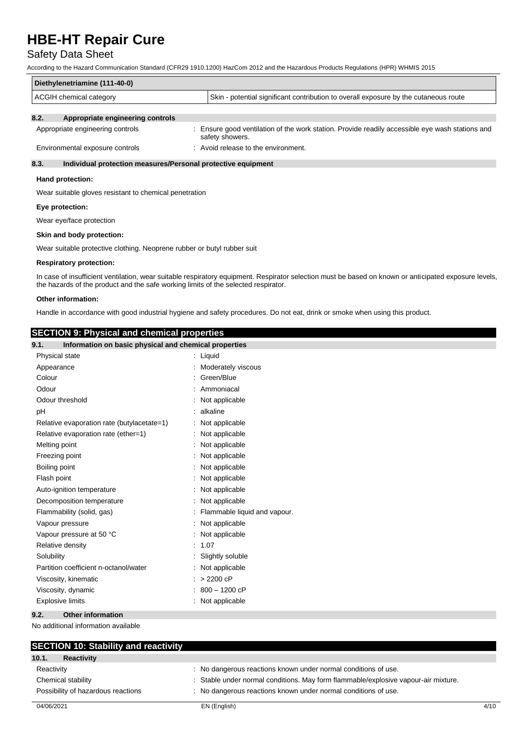## Safety Data Sheet

According to the Hazard Communication Standard (CFR29 1910.1200) HazCom 2012 and the Hazardous Products Regulations (HPR) WHMIS 2015

| Diethylenetriamine (111-40-0)                      |                                                                                      |  |
|----------------------------------------------------|--------------------------------------------------------------------------------------|--|
| ACGIH chemical category                            | Skin - potential significant contribution to overall exposure by the cutaneous route |  |
| $\mathbf{a}$<br>A monocolate analussaluse sentuala |                                                                                      |  |

#### **8.2. Appropriate engineering controls**

| Appropriate engineering controls | Ensure good ventilation of the work station. Provide readily accessible eye wash stations and<br>safety showers. |
|----------------------------------|------------------------------------------------------------------------------------------------------------------|
| Environmental exposure controls  | Avoid release to the environment.                                                                                |

### **8.3. Individual protection measures/Personal protective equipment**

#### **Hand protection:**

Wear suitable gloves resistant to chemical penetration

#### **Eye protection:**

Wear eye/face protection

#### **Skin and body protection:**

Wear suitable protective clothing. Neoprene rubber or butyl rubber suit

#### **Respiratory protection:**

In case of insufficient ventilation, wear suitable respiratory equipment. Respirator selection must be based on known or anticipated exposure levels, the hazards of the product and the safe working limits of the selected respirator.

#### **Other information:**

Handle in accordance with good industrial hygiene and safety procedures. Do not eat, drink or smoke when using this product.

### **SECTION 9: Physical and chemical properties**

| $\cdots$ , $\cdots$<br>---------<br>9.1.<br>Information on basic physical and chemical properties |                              |
|---------------------------------------------------------------------------------------------------|------------------------------|
| Physical state                                                                                    | : Liquid                     |
| Appearance                                                                                        | : Moderately viscous         |
| Colour                                                                                            | : Green/Blue                 |
| Odour                                                                                             | Ammoniacal                   |
| Odour threshold                                                                                   | Not applicable               |
| pH                                                                                                | alkaline                     |
| Relative evaporation rate (butylacetate=1)                                                        | Not applicable               |
| Relative evaporation rate (ether=1)                                                               | Not applicable               |
| Melting point                                                                                     | Not applicable               |
| Freezing point                                                                                    | Not applicable               |
| Boiling point                                                                                     | Not applicable               |
| Flash point                                                                                       | Not applicable               |
| Auto-ignition temperature                                                                         | Not applicable               |
| Decomposition temperature                                                                         | : Not applicable             |
| Flammability (solid, gas)                                                                         | Flammable liquid and vapour. |
| Vapour pressure                                                                                   | : Not applicable             |
| Vapour pressure at 50 °C                                                                          | : Not applicable             |
| Relative density                                                                                  | : 1.07                       |
| Solubility                                                                                        | Slightly soluble             |
| Partition coefficient n-octanol/water                                                             | Not applicable               |
| Viscosity, kinematic                                                                              | $: > 2200$ cP                |
| Viscosity, dynamic                                                                                | 800 - 1200 cP                |
| <b>Explosive limits</b>                                                                           | : Not applicable             |
| 9.2.<br><b>Other information</b>                                                                  |                              |

No additional information available

| <b>SECTION 10: Stability and reactivity</b> |                                                                                    |      |
|---------------------------------------------|------------------------------------------------------------------------------------|------|
| 10.1.<br>Reactivity                         |                                                                                    |      |
| Reactivity                                  | : No dangerous reactions known under normal conditions of use.                     |      |
| Chemical stability                          | : Stable under normal conditions. May form flammable/explosive vapour-air mixture. |      |
| Possibility of hazardous reactions          | : No dangerous reactions known under normal conditions of use.                     |      |
| 04/06/2021                                  | EN (English)                                                                       | 4/10 |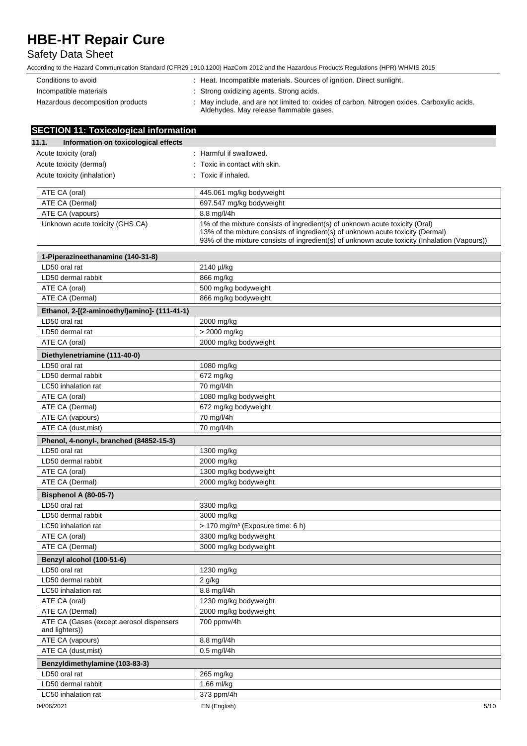## Safety Data Sheet

| Conditions to avoid              | : Heat. Incompatible materials. Sources of ignition. Direct sunlight.                                                                  |
|----------------------------------|----------------------------------------------------------------------------------------------------------------------------------------|
| Incompatible materials           | : Strong oxidizing agents. Strong acids.                                                                                               |
| Hazardous decomposition products | : May include, and are not limited to: oxides of carbon. Nitrogen oxides. Carboxylic acids.<br>Aldehydes. May release flammable gases. |

| <b>SECTION 11: Toxicological information</b>               |                                                                                                                                                                                                                                                                  |
|------------------------------------------------------------|------------------------------------------------------------------------------------------------------------------------------------------------------------------------------------------------------------------------------------------------------------------|
| Information on toxicological effects<br>11.1.              |                                                                                                                                                                                                                                                                  |
| Acute toxicity (oral)                                      | : Harmful if swallowed.                                                                                                                                                                                                                                          |
| Acute toxicity (dermal)                                    | : Toxic in contact with skin.                                                                                                                                                                                                                                    |
| Acute toxicity (inhalation)                                | : Toxic if inhaled.                                                                                                                                                                                                                                              |
|                                                            |                                                                                                                                                                                                                                                                  |
| ATE CA (oral)                                              | 445.061 mg/kg bodyweight                                                                                                                                                                                                                                         |
| ATE CA (Dermal)                                            | 697.547 mg/kg bodyweight                                                                                                                                                                                                                                         |
| ATE CA (vapours)                                           | 8.8 mg/l/4h                                                                                                                                                                                                                                                      |
| Unknown acute toxicity (GHS CA)                            | 1% of the mixture consists of ingredient(s) of unknown acute toxicity (Oral)<br>13% of the mixture consists of ingredient(s) of unknown acute toxicity (Dermal)<br>93% of the mixture consists of ingredient(s) of unknown acute toxicity (Inhalation (Vapours)) |
| 1-Piperazineethanamine (140-31-8)                          |                                                                                                                                                                                                                                                                  |
| LD50 oral rat                                              | 2140 µl/kg                                                                                                                                                                                                                                                       |
| LD50 dermal rabbit                                         | 866 mg/kg                                                                                                                                                                                                                                                        |
| ATE CA (oral)                                              | 500 mg/kg bodyweight                                                                                                                                                                                                                                             |
| ATE CA (Dermal)                                            | 866 mg/kg bodyweight                                                                                                                                                                                                                                             |
| Ethanol, 2-[(2-aminoethyl)amino]- (111-41-1)               |                                                                                                                                                                                                                                                                  |
| LD50 oral rat                                              | 2000 mg/kg                                                                                                                                                                                                                                                       |
| LD50 dermal rat                                            | > 2000 mg/kg                                                                                                                                                                                                                                                     |
| ATE CA (oral)                                              | 2000 mg/kg bodyweight                                                                                                                                                                                                                                            |
| Diethylenetriamine (111-40-0)                              |                                                                                                                                                                                                                                                                  |
| LD50 oral rat                                              | 1080 mg/kg                                                                                                                                                                                                                                                       |
| LD50 dermal rabbit                                         | 672 mg/kg                                                                                                                                                                                                                                                        |
| LC50 inhalation rat                                        | 70 mg/l/4h                                                                                                                                                                                                                                                       |
| ATE CA (oral)                                              | 1080 mg/kg bodyweight                                                                                                                                                                                                                                            |
| ATE CA (Dermal)                                            | 672 mg/kg bodyweight                                                                                                                                                                                                                                             |
| ATE CA (vapours)                                           | 70 mg/l/4h                                                                                                                                                                                                                                                       |
| ATE CA (dust, mist)                                        | 70 mg/l/4h                                                                                                                                                                                                                                                       |
| Phenol, 4-nonyl-, branched (84852-15-3)                    |                                                                                                                                                                                                                                                                  |
| LD50 oral rat                                              | 1300 mg/kg                                                                                                                                                                                                                                                       |
| LD50 dermal rabbit                                         | 2000 mg/kg                                                                                                                                                                                                                                                       |
| ATE CA (oral)                                              | 1300 mg/kg bodyweight                                                                                                                                                                                                                                            |
| ATE CA (Dermal)                                            | 2000 mg/kg bodyweight                                                                                                                                                                                                                                            |
| Bisphenol A (80-05-7)                                      |                                                                                                                                                                                                                                                                  |
| LD50 oral rat                                              | 3300 mg/kg                                                                                                                                                                                                                                                       |
| LD50 dermal rabbit                                         | 3000 mg/kg                                                                                                                                                                                                                                                       |
| LC50 inhalation rat                                        | > 170 mg/m <sup>3</sup> (Exposure time: 6 h)                                                                                                                                                                                                                     |
| ATE CA (oral)                                              | 3300 mg/kg bodyweight                                                                                                                                                                                                                                            |
| ATE CA (Dermal)                                            | 3000 mg/kg bodyweight                                                                                                                                                                                                                                            |
| Benzyl alcohol (100-51-6)                                  |                                                                                                                                                                                                                                                                  |
| LD50 oral rat                                              | 1230 mg/kg                                                                                                                                                                                                                                                       |
| LD50 dermal rabbit                                         | 2 g/kg                                                                                                                                                                                                                                                           |
| LC50 inhalation rat                                        | 8.8 mg/l/4h                                                                                                                                                                                                                                                      |
| ATE CA (oral)                                              | 1230 mg/kg bodyweight                                                                                                                                                                                                                                            |
| ATE CA (Dermal)                                            | 2000 mg/kg bodyweight                                                                                                                                                                                                                                            |
| ATE CA (Gases (except aerosol dispensers<br>and lighters)) | 700 ppmv/4h                                                                                                                                                                                                                                                      |
| ATE CA (vapours)                                           | 8.8 mg/l/4h                                                                                                                                                                                                                                                      |
| ATE CA (dust, mist)                                        | $0.5$ mg/l/4h                                                                                                                                                                                                                                                    |
| Benzyldimethylamine (103-83-3)                             |                                                                                                                                                                                                                                                                  |
| LD50 oral rat                                              | 265 mg/kg                                                                                                                                                                                                                                                        |
| LD50 dermal rabbit                                         | 1.66 ml/kg                                                                                                                                                                                                                                                       |
| LC50 inhalation rat                                        | 373 ppm/4h                                                                                                                                                                                                                                                       |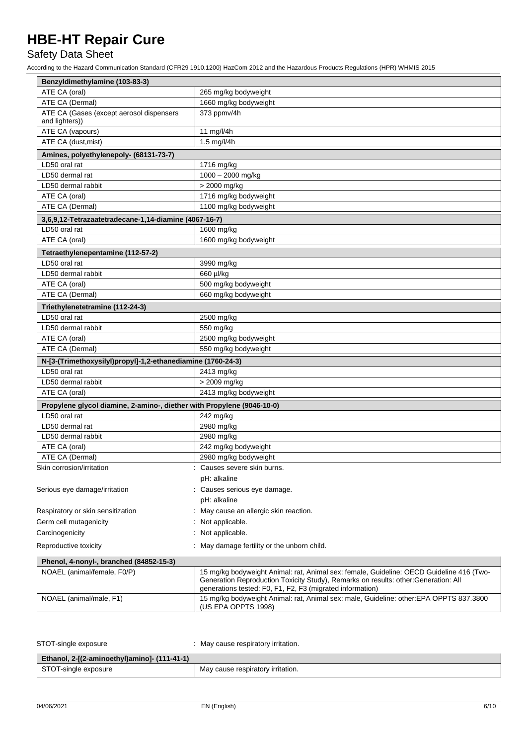## Safety Data Sheet

| Benzyldimethylamine (103-83-3)                                         |                                                                                                                                                                                                                                              |
|------------------------------------------------------------------------|----------------------------------------------------------------------------------------------------------------------------------------------------------------------------------------------------------------------------------------------|
| ATE CA (oral)                                                          | 265 mg/kg bodyweight                                                                                                                                                                                                                         |
| ATE CA (Dermal)                                                        | 1660 mg/kg bodyweight                                                                                                                                                                                                                        |
| ATE CA (Gases (except aerosol dispensers                               | 373 ppmv/4h                                                                                                                                                                                                                                  |
| and lighters))                                                         |                                                                                                                                                                                                                                              |
| ATE CA (vapours)                                                       | 11 mg/l/4h                                                                                                                                                                                                                                   |
| ATE CA (dust.mist)                                                     | 1.5 mg/l/4h                                                                                                                                                                                                                                  |
| Amines, polyethylenepoly- (68131-73-7)                                 |                                                                                                                                                                                                                                              |
| LD50 oral rat                                                          | 1716 mg/kg                                                                                                                                                                                                                                   |
| LD50 dermal rat                                                        | 1000 - 2000 mg/kg                                                                                                                                                                                                                            |
| LD50 dermal rabbit                                                     | > 2000 mg/kg                                                                                                                                                                                                                                 |
| ATE CA (oral)                                                          | 1716 mg/kg bodyweight                                                                                                                                                                                                                        |
| ATE CA (Dermal)                                                        | 1100 mg/kg bodyweight                                                                                                                                                                                                                        |
| 3,6,9,12-Tetrazaatetradecane-1,14-diamine (4067-16-7)                  |                                                                                                                                                                                                                                              |
| LD50 oral rat                                                          | 1600 mg/kg                                                                                                                                                                                                                                   |
| ATE CA (oral)                                                          | 1600 mg/kg bodyweight                                                                                                                                                                                                                        |
| Tetraethylenepentamine (112-57-2)                                      |                                                                                                                                                                                                                                              |
| LD50 oral rat                                                          | 3990 mg/kg                                                                                                                                                                                                                                   |
| LD50 dermal rabbit                                                     | 660 µl/kg                                                                                                                                                                                                                                    |
| ATE CA (oral)                                                          | 500 mg/kg bodyweight                                                                                                                                                                                                                         |
| ATE CA (Dermal)                                                        | 660 mg/kg bodyweight                                                                                                                                                                                                                         |
| Triethylenetetramine (112-24-3)                                        |                                                                                                                                                                                                                                              |
| LD50 oral rat                                                          | 2500 mg/kg                                                                                                                                                                                                                                   |
| LD50 dermal rabbit                                                     | 550 mg/kg                                                                                                                                                                                                                                    |
| ATE CA (oral)                                                          | 2500 mg/kg bodyweight                                                                                                                                                                                                                        |
| ATE CA (Dermal)                                                        | 550 mg/kg bodyweight                                                                                                                                                                                                                         |
| N-[3-(Trimethoxysilyl)propyl]-1,2-ethanediamine (1760-24-3)            |                                                                                                                                                                                                                                              |
| LD50 oral rat                                                          | 2413 mg/kg                                                                                                                                                                                                                                   |
| LD50 dermal rabbit                                                     | > 2009 mg/kg                                                                                                                                                                                                                                 |
| ATE CA (oral)                                                          | 2413 mg/kg bodyweight                                                                                                                                                                                                                        |
|                                                                        |                                                                                                                                                                                                                                              |
| Propylene glycol diamine, 2-amino-, diether with Propylene (9046-10-0) |                                                                                                                                                                                                                                              |
| LD50 oral rat                                                          | 242 mg/kg                                                                                                                                                                                                                                    |
| LD50 dermal rat                                                        | 2980 mg/kg                                                                                                                                                                                                                                   |
| LD50 dermal rabbit                                                     | 2980 mg/kg                                                                                                                                                                                                                                   |
| ATE CA (oral)                                                          | 242 mg/kg bodyweight                                                                                                                                                                                                                         |
| ATE CA (Dermal)                                                        | 2980 mg/kg bodyweight                                                                                                                                                                                                                        |
| Skin corrosion/irritation                                              | : Causes severe skin burns.                                                                                                                                                                                                                  |
|                                                                        | pH: alkaline                                                                                                                                                                                                                                 |
| Serious eye damage/irritation                                          | Causes serious eye damage.                                                                                                                                                                                                                   |
|                                                                        | pH: alkaline                                                                                                                                                                                                                                 |
| Respiratory or skin sensitization                                      | May cause an allergic skin reaction.                                                                                                                                                                                                         |
| Germ cell mutagenicity                                                 | Not applicable.                                                                                                                                                                                                                              |
| Carcinogenicity                                                        | Not applicable.                                                                                                                                                                                                                              |
| Reproductive toxicity                                                  | May damage fertility or the unborn child.                                                                                                                                                                                                    |
| Phenol, 4-nonyl-, branched (84852-15-3)                                |                                                                                                                                                                                                                                              |
| NOAEL (animal/female, F0/P)                                            | 15 mg/kg bodyweight Animal: rat, Animal sex: female, Guideline: OECD Guideline 416 (Two-<br>Generation Reproduction Toxicity Study), Remarks on results: other: Generation: All<br>generations tested: F0, F1, F2, F3 (migrated information) |
| NOAEL (animal/male, F1)                                                | 15 mg/kg bodyweight Animal: rat, Animal sex: male, Guideline: other:EPA OPPTS 837.3800<br>(US EPA OPPTS 1998)                                                                                                                                |

| STOT-single exposure                         | : May cause respiratory irritation. |
|----------------------------------------------|-------------------------------------|
| Ethanol, 2-[(2-aminoethyl)amino]- (111-41-1) |                                     |
| STOT-single exposure                         | May cause respiratory irritation.   |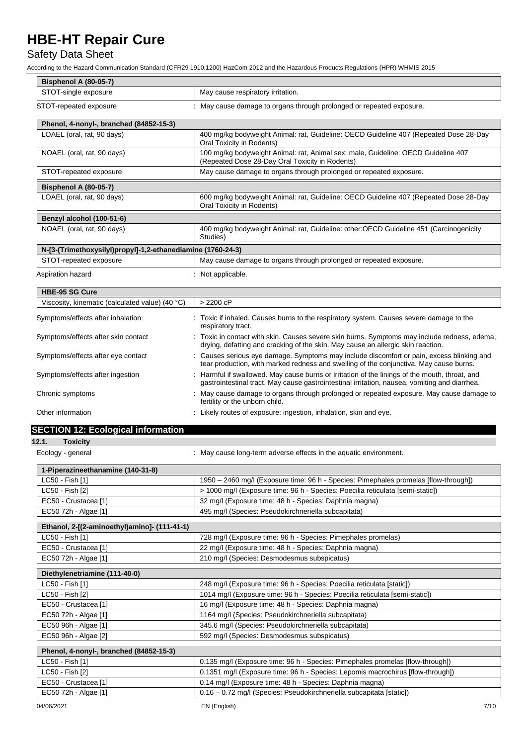## Safety Data Sheet

| <b>Bisphenol A (80-05-7)</b>                                |                                                                                                                                                                                                 |
|-------------------------------------------------------------|-------------------------------------------------------------------------------------------------------------------------------------------------------------------------------------------------|
| STOT-single exposure                                        | May cause respiratory irritation.                                                                                                                                                               |
| STOT-repeated exposure                                      | : May cause damage to organs through prolonged or repeated exposure.                                                                                                                            |
| Phenol, 4-nonyl-, branched (84852-15-3)                     |                                                                                                                                                                                                 |
| LOAEL (oral, rat, 90 days)                                  | 400 mg/kg bodyweight Animal: rat, Guideline: OECD Guideline 407 (Repeated Dose 28-Day<br>Oral Toxicity in Rodents)                                                                              |
| NOAEL (oral, rat, 90 days)                                  | 100 mg/kg bodyweight Animal: rat, Animal sex: male, Guideline: OECD Guideline 407<br>(Repeated Dose 28-Day Oral Toxicity in Rodents)                                                            |
| STOT-repeated exposure                                      | May cause damage to organs through prolonged or repeated exposure.                                                                                                                              |
| <b>Bisphenol A (80-05-7)</b>                                |                                                                                                                                                                                                 |
| LOAEL (oral, rat, 90 days)                                  | 600 mg/kg bodyweight Animal: rat, Guideline: OECD Guideline 407 (Repeated Dose 28-Day<br>Oral Toxicity in Rodents)                                                                              |
| Benzyl alcohol (100-51-6)                                   |                                                                                                                                                                                                 |
| NOAEL (oral, rat, 90 days)                                  | 400 mg/kg bodyweight Animal: rat, Guideline: other:OECD Guideline 451 (Carcinogenicity<br>Studies)                                                                                              |
| N-[3-(Trimethoxysilyl)propyl]-1,2-ethanediamine (1760-24-3) |                                                                                                                                                                                                 |
| STOT-repeated exposure                                      | May cause damage to organs through prolonged or repeated exposure.                                                                                                                              |
| Aspiration hazard                                           | : Not applicable.                                                                                                                                                                               |
| <b>HBE-95 SG Cure</b>                                       |                                                                                                                                                                                                 |
| Viscosity, kinematic (calculated value) (40 $^{\circ}$ C)   | $> 2200$ cP                                                                                                                                                                                     |
| Symptoms/effects after inhalation                           | : Toxic if inhaled. Causes burns to the respiratory system. Causes severe damage to the<br>respiratory tract.                                                                                   |
| Symptoms/effects after skin contact                         | : Toxic in contact with skin. Causes severe skin burns. Symptoms may include redness, edema,<br>drying, defatting and cracking of the skin. May cause an allergic skin reaction.                |
| Symptoms/effects after eye contact                          | : Causes serious eye damage. Symptoms may include discomfort or pain, excess blinking and<br>tear production, with marked redness and swelling of the conjunctiva. May cause burns.             |
| Symptoms/effects after ingestion                            | : Harmful if swallowed. May cause burns or irritation of the linings of the mouth, throat, and<br>gastrointestinal tract. May cause gastrointestinal irritation, nausea, vomiting and diarrhea. |
| Chronic symptoms                                            | : May cause damage to organs through prolonged or repeated exposure. May cause damage to<br>fertility or the unborn child.                                                                      |
| Other information                                           | : Likely routes of exposure: ingestion, inhalation, skin and eye.                                                                                                                               |
| <b>SECTION 12: Ecological information</b>                   |                                                                                                                                                                                                 |
| 12.1.<br><b>Toxicity</b>                                    |                                                                                                                                                                                                 |
| Ecology - general                                           | : May cause long-term adverse effects in the aquatic environment.                                                                                                                               |
| 1-Piperazineethanamine (140-31-8)                           |                                                                                                                                                                                                 |
| LC50 - Fish [1]                                             | 1950 - 2460 mg/l (Exposure time: 96 h - Species: Pimephales promelas [flow-through])                                                                                                            |
| LC50 - Fish [2]                                             | > 1000 mg/l (Exposure time: 96 h - Species: Poecilia reticulata [semi-static])                                                                                                                  |
| EC50 - Crustacea [1]                                        | 32 mg/l (Exposure time: 48 h - Species: Daphnia magna)                                                                                                                                          |
| EC50 72h - Algae [1]                                        | 495 mg/l (Species: Pseudokirchneriella subcapitata)                                                                                                                                             |
| Ethanol, 2-[(2-aminoethyl)amino]- (111-41-1)                |                                                                                                                                                                                                 |
| LC50 - Fish [1]                                             | 728 mg/l (Exposure time: 96 h - Species: Pimephales promelas)                                                                                                                                   |
| EC50 - Crustacea [1]                                        | 22 mg/l (Exposure time: 48 h - Species: Daphnia magna)                                                                                                                                          |
| EC50 72h - Algae [1]                                        | 210 mg/l (Species: Desmodesmus subspicatus)                                                                                                                                                     |
| Diethylenetriamine (111-40-0)                               |                                                                                                                                                                                                 |
| LC50 - Fish [1]                                             | 248 mg/l (Exposure time: 96 h - Species: Poecilia reticulata [static])                                                                                                                          |
| LC50 - Fish [2]                                             | 1014 mg/l (Exposure time: 96 h - Species: Poecilia reticulata [semi-static])                                                                                                                    |
| EC50 - Crustacea [1]                                        | 16 mg/l (Exposure time: 48 h - Species: Daphnia magna)                                                                                                                                          |
| EC50 72h - Algae [1]                                        | 1164 mg/l (Species: Pseudokirchneriella subcapitata)                                                                                                                                            |
| EC50 96h - Algae [1]                                        | 345.6 mg/l (Species: Pseudokirchneriella subcapitata)                                                                                                                                           |
| EC50 96h - Algae [2]                                        | 592 mg/l (Species: Desmodesmus subspicatus)                                                                                                                                                     |
| Phenol, 4-nonyl-, branched (84852-15-3)                     |                                                                                                                                                                                                 |
| LC50 - Fish [1]                                             | 0.135 mg/l (Exposure time: 96 h - Species: Pimephales promelas [flow-through])                                                                                                                  |
| LC50 - Fish [2]                                             | 0.1351 mg/l (Exposure time: 96 h - Species: Lepomis macrochirus [flow-through])                                                                                                                 |
| EC50 - Crustacea [1]                                        | 0.14 mg/l (Exposure time: 48 h - Species: Daphnia magna)                                                                                                                                        |
| EC50 72h - Algae [1]                                        | 0.16 - 0.72 mg/l (Species: Pseudokirchneriella subcapitata [static])                                                                                                                            |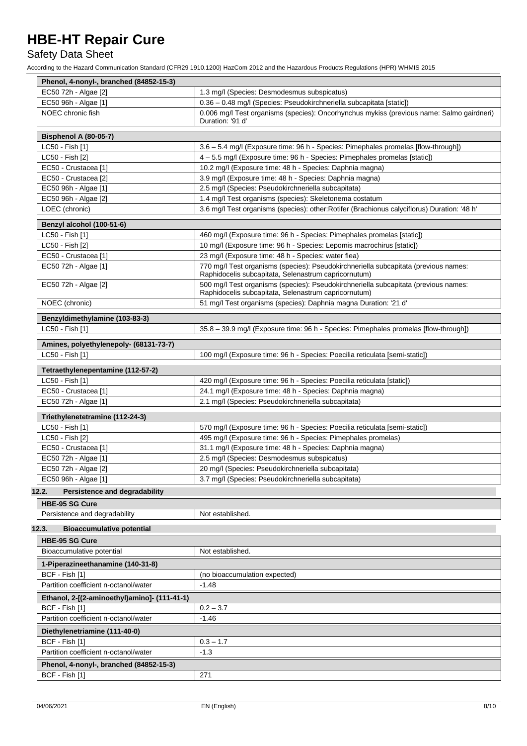## Safety Data Sheet

| Phenol, 4-nonyl-, branched (84852-15-3)              |                                                                                                                                             |
|------------------------------------------------------|---------------------------------------------------------------------------------------------------------------------------------------------|
| EC50 72h - Algae [2]                                 | 1.3 mg/l (Species: Desmodesmus subspicatus)                                                                                                 |
| EC50 96h - Algae [1]                                 | 0.36 - 0.48 mg/l (Species: Pseudokirchneriella subcapitata [static])                                                                        |
| NOEC chronic fish                                    | 0.006 mg/l Test organisms (species): Oncorhynchus mykiss (previous name: Salmo gairdneri)<br>Duration: '91 d'                               |
| <b>Bisphenol A (80-05-7)</b>                         |                                                                                                                                             |
| LC50 - Fish [1]                                      | 3.6 - 5.4 mg/l (Exposure time: 96 h - Species: Pimephales promelas [flow-through])                                                          |
| LC50 - Fish [2]                                      | 4 - 5.5 mg/l (Exposure time: 96 h - Species: Pimephales promelas [static])                                                                  |
| EC50 - Crustacea [1]                                 | 10.2 mg/l (Exposure time: 48 h - Species: Daphnia magna)                                                                                    |
| EC50 - Crustacea [2]                                 | 3.9 mg/l (Exposure time: 48 h - Species: Daphnia magna)                                                                                     |
| EC50 96h - Algae [1]                                 | 2.5 mg/l (Species: Pseudokirchneriella subcapitata)                                                                                         |
| EC50 96h - Algae [2]                                 | 1.4 mg/l Test organisms (species): Skeletonema costatum                                                                                     |
| LOEC (chronic)                                       | 3.6 mg/l Test organisms (species): other: Rotifer (Brachionus calyciflorus) Duration: '48 h'                                                |
| Benzyl alcohol (100-51-6)                            |                                                                                                                                             |
| LC50 - Fish [1]                                      | 460 mg/l (Exposure time: 96 h - Species: Pimephales promelas [static])                                                                      |
| LC50 - Fish [2]                                      | 10 mg/l (Exposure time: 96 h - Species: Lepomis macrochirus [static])                                                                       |
| EC50 - Crustacea [1]                                 | 23 mg/l (Exposure time: 48 h - Species: water flea)                                                                                         |
| EC50 72h - Algae [1]                                 | 770 mg/l Test organisms (species): Pseudokirchneriella subcapitata (previous names:<br>Raphidocelis subcapitata, Selenastrum capricornutum) |
| EC50 72h - Algae [2]                                 | 500 mg/l Test organisms (species): Pseudokirchneriella subcapitata (previous names:<br>Raphidocelis subcapitata, Selenastrum capricornutum) |
| NOEC (chronic)                                       | 51 mg/l Test organisms (species): Daphnia magna Duration: '21 d'                                                                            |
| Benzyldimethylamine (103-83-3)                       |                                                                                                                                             |
| LC50 - Fish [1]                                      | 35.8 - 39.9 mg/l (Exposure time: 96 h - Species: Pimephales promelas [flow-through])                                                        |
| Amines, polyethylenepoly- (68131-73-7)               |                                                                                                                                             |
| LC50 - Fish [1]                                      | 100 mg/l (Exposure time: 96 h - Species: Poecilia reticulata [semi-static])                                                                 |
|                                                      |                                                                                                                                             |
| Tetraethylenepentamine (112-57-2)<br>LC50 - Fish [1] |                                                                                                                                             |
| EC50 - Crustacea [1]                                 | 420 mg/l (Exposure time: 96 h - Species: Poecilia reticulata [static])<br>24.1 mg/l (Exposure time: 48 h - Species: Daphnia magna)          |
| EC50 72h - Algae [1]                                 | 2.1 mg/l (Species: Pseudokirchneriella subcapitata)                                                                                         |
|                                                      |                                                                                                                                             |
| Triethylenetetramine (112-24-3)<br>LC50 - Fish [1]   | 570 mg/l (Exposure time: 96 h - Species: Poecilia reticulata [semi-static])                                                                 |
| LC50 - Fish [2]                                      | 495 mg/l (Exposure time: 96 h - Species: Pimephales promelas)                                                                               |
| EC50 - Crustacea [1]                                 |                                                                                                                                             |
|                                                      | 31.1 mg/l (Exposure time: 48 h - Species: Daphnia magna)<br>2.5 mg/l (Species: Desmodesmus subspicatus)                                     |
| EC50 72h - Algae [1]<br>EC50 72h - Algae [2]         | 20 mg/l (Species: Pseudokirchneriella subcapitata)                                                                                          |
| EC50 96h - Algae [1]                                 | 3.7 mg/l (Species: Pseudokirchneriella subcapitata)                                                                                         |
| <b>Persistence and degradability</b><br>12.2.        |                                                                                                                                             |
| <b>HBE-95 SG Cure</b>                                |                                                                                                                                             |
| Persistence and degradability                        | Not established.                                                                                                                            |
| 12.3.<br><b>Bioaccumulative potential</b>            |                                                                                                                                             |
| <b>HBE-95 SG Cure</b>                                |                                                                                                                                             |
| Bioaccumulative potential                            | Not established.                                                                                                                            |
| 1-Piperazineethanamine (140-31-8)                    |                                                                                                                                             |
| BCF - Fish [1]                                       | (no bioaccumulation expected)                                                                                                               |
| Partition coefficient n-octanol/water                | $-1.48$                                                                                                                                     |
| Ethanol, 2-[(2-aminoethyl)amino]- (111-41-1)         |                                                                                                                                             |
| BCF - Fish [1]                                       | $0.2 - 3.7$                                                                                                                                 |
| Partition coefficient n-octanol/water                | $-1.46$                                                                                                                                     |
| Diethylenetriamine (111-40-0)                        |                                                                                                                                             |
| BCF - Fish [1]                                       | $0.3 - 1.7$                                                                                                                                 |
| Partition coefficient n-octanol/water                | $-1.3$                                                                                                                                      |
| Phenol, 4-nonyl-, branched (84852-15-3)              |                                                                                                                                             |
| BCF - Fish [1]                                       | 271                                                                                                                                         |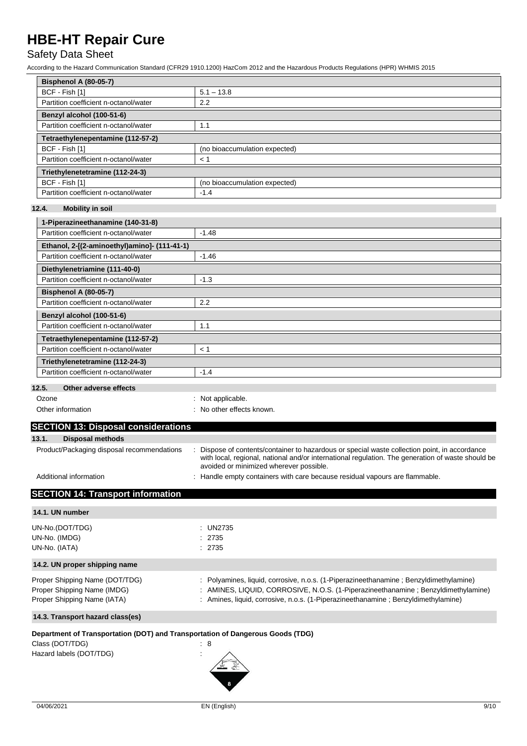## Safety Data Sheet

According to the Hazard Communication Standard (CFR29 1910.1200) HazCom 2012 and the Hazardous Products Regulations (HPR) WHMIS 2015

| <b>Bisphenol A (80-05-7)</b>          |                               |
|---------------------------------------|-------------------------------|
| BCF - Fish [1]                        | $5.1 - 13.8$                  |
| Partition coefficient n-octanol/water | 2.2                           |
| Benzyl alcohol (100-51-6)             |                               |
| Partition coefficient n-octanol/water | 1.1                           |
| Tetraethylenepentamine (112-57-2)     |                               |
| BCF - Fish [1]                        | (no bioaccumulation expected) |
| Partition coefficient n-octanol/water | < 1                           |
| Triethylenetetramine (112-24-3)       |                               |
| BCF - Fish [1]                        | (no bioaccumulation expected) |
| Partition coefficient n-octanol/water | $-1.4$                        |

### **12.4. Mobility in soil**

| 1-Piperazineethanamine (140-31-8)                          |         |
|------------------------------------------------------------|---------|
| Partition coefficient n-octanol/water                      | $-1.48$ |
| Ethanol, 2-[(2-aminoethyl)amino]- (111-41-1)               |         |
| Partition coefficient n-octanol/water                      | $-1.46$ |
| Diethylenetriamine (111-40-0)                              |         |
| Partition coefficient n-octanol/water                      | $-1.3$  |
| <b>Bisphenol A (80-05-7)</b>                               |         |
| Partition coefficient n-octanol/water                      | 2.2     |
| Benzyl alcohol (100-51-6)                                  |         |
| Partition coefficient n-octanol/water                      | 1.1     |
| Tetraethylenepentamine (112-57-2)                          |         |
| Partition coefficient n-octanol/water                      | < 1     |
| Triethylenetetramine (112-24-3)                            |         |
| Partition coefficient n-octanol/water                      | $-1.4$  |
| $\sim$ $\sim$<br>$\sim$ $\sim$ $\sim$ $\sim$ $\sim$ $\sim$ |         |

#### **12.5. Other adverse effects**

| Ozone | : Not applicable. |
|-------|-------------------|
|       |                   |

Other information **contact and the COV** other effects known.

### **SECTION 13: Disposal considerations 13.1. Disposal methods** Product/Packaging disposal recommendations : Dispose of contents/container to hazardous or special waste collection point, in accordance with local, regional, national and/or international regulation. The generation of waste should be avoided or minimized wherever possible.

Additional information **interest in the containers** : Handle empty containers with care because residual vapours are flammable.

## **SECTION 14: Transport information**

| 14.1. UN number                                                                                                              |                                                                                                                                                                                                                                                                  |
|------------------------------------------------------------------------------------------------------------------------------|------------------------------------------------------------------------------------------------------------------------------------------------------------------------------------------------------------------------------------------------------------------|
| UN-No.(DOT/TDG)<br>UN-No. (IMDG)<br>UN-No. (IATA)                                                                            | : $UN2735$<br>: 2735<br>: 2735                                                                                                                                                                                                                                   |
| 14.2. UN proper shipping name                                                                                                |                                                                                                                                                                                                                                                                  |
| Proper Shipping Name (DOT/TDG)<br>Proper Shipping Name (IMDG)<br>Proper Shipping Name (IATA)                                 | : Polyamines, liquid, corrosive, n.o.s. (1-Piperazineethanamine : Benzyldimethylamine)<br>: AMINES, LIQUID, CORROSIVE, N.O.S. (1-Piperazineethanamine; Benzyldimethylamine)<br>: Amines, liquid, corrosive, n.o.s. (1-Piperazineethanamine; Benzyldimethylamine) |
| 14.3. Transport hazard class(es)                                                                                             |                                                                                                                                                                                                                                                                  |
| Department of Transportation (DOT) and Transportation of Dangerous Goods (TDG)<br>Class (DOT/TDG)<br>Hazard labels (DOT/TDG) | : 8<br>$\cdot$                                                                                                                                                                                                                                                   |